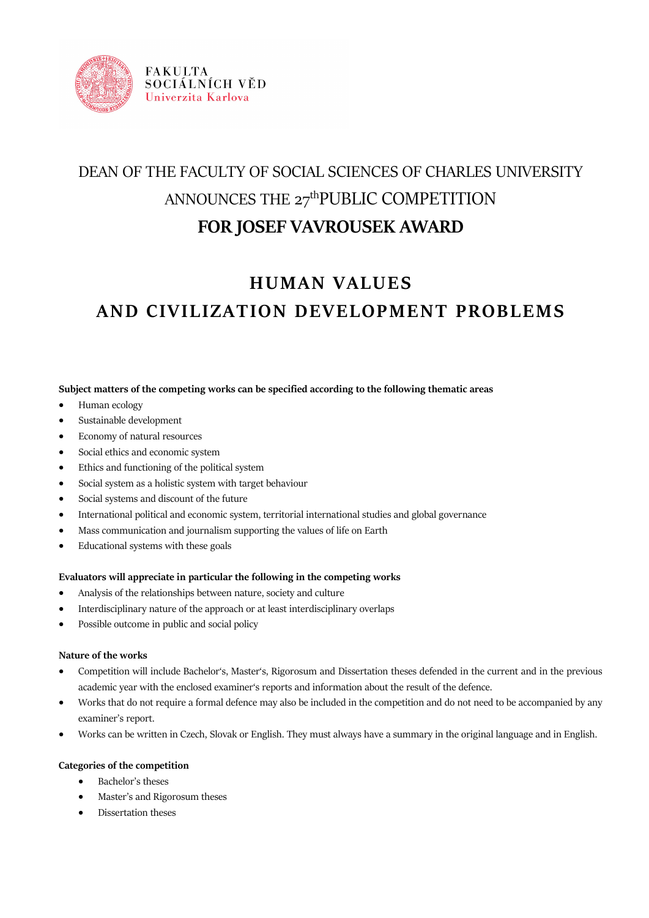

# DEAN OF THE FACULTY OF SOCIAL SCIENCES OF CHARLES UNIVERSITY ANNOUNCES THE  $27<sup>th</sup>$ PUBLIC COMPETITION **FOR JOSEF VAVROUSEK AWARD**

## **HUMAN VALUES AND CIVILIZATION DEVELOPMENT PROBLEMS**

## **Subject matters of the competing works can be specified according to the following thematic areas**

- Human ecology
- Sustainable development
- Economy of natural resources
- Social ethics and economic system
- Ethics and functioning of the political system
- Social system as a holistic system with target behaviour
- Social systems and discount of the future
- International political and economic system, territorial international studies and global governance
- Mass communication and journalism supporting the values of life on Earth
- Educational systems with these goals

## **Evaluators will appreciate in particular the following in the competing works**

- Analysis of the relationships between nature, society and culture
- Interdisciplinary nature of the approach or at least interdisciplinary overlaps
- Possible outcome in public and social policy

## **Nature of the works**

- Competition will include Bachelor's, Master's, Rigorosum and Dissertation theses defended in the current and in the previous academic year with the enclosed examiner's reports and information about the result of the defence.
- Works that do not require a formal defence may also be included in the competition and do not need to be accompanied by any examiner's report.
- Works can be written in Czech, Slovak or English. They must always have a summary in the original language and in English.

## **Categories of the competition**

- Bachelor's theses
- Master's and Rigorosum theses
- Dissertation theses